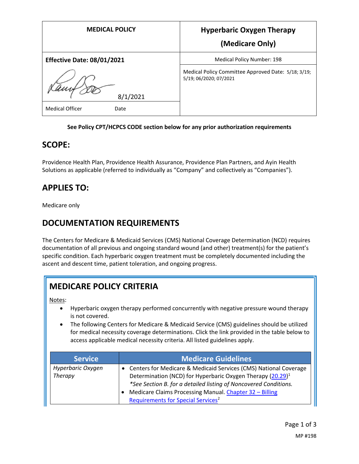| <b>MEDICAL POLICY</b>             | <b>Hyperbaric Oxygen Therapy</b>                                              |
|-----------------------------------|-------------------------------------------------------------------------------|
|                                   | (Medicare Only)                                                               |
| <b>Effective Date: 08/01/2021</b> | Medical Policy Number: 198                                                    |
| 8/1/2021                          | Medical Policy Committee Approved Date: 5/18; 3/19;<br>5/19; 06/2020; 07/2021 |
| <b>Medical Officer</b><br>Date    |                                                                               |

#### **See Policy CPT/HCPCS CODE section below for any prior authorization requirements**

### **SCOPE:**

Providence Health Plan, Providence Health Assurance, Providence Plan Partners, and Ayin Health Solutions as applicable (referred to individually as "Company" and collectively as "Companies").

## **APPLIES TO:**

Medicare only

## **DOCUMENTATION REQUIREMENTS**

The Centers for Medicare & Medicaid Services (CMS) National Coverage Determination (NCD) requires documentation of all previous and ongoing standard wound (and other) treatment(s) for the patient's specific condition. Each hyperbaric oxygen treatment must be completely documented including the ascent and descent time, patient toleration, and ongoing progress.

# **MEDICARE POLICY CRITERIA**

Notes:

- Hyperbaric oxygen therapy performed concurrently with negative pressure wound therapy is not covered.
- The following Centers for Medicare & Medicaid Service (CMS) guidelines should be utilized for medical necessity coverage determinations. Click the link provided in the table below to access applicable medical necessity criteria. All listed guidelines apply.

| <b>Service</b>               | <b>Medicare Guidelines</b>                                                                                                                                                                                                                                                                                                    |
|------------------------------|-------------------------------------------------------------------------------------------------------------------------------------------------------------------------------------------------------------------------------------------------------------------------------------------------------------------------------|
| Hyperbaric Oxygen<br>Therapy | • Centers for Medicare & Medicaid Services (CMS) National Coverage<br>Determination (NCD) for Hyperbaric Oxygen Therapy (20.29) <sup>1</sup><br>*See Section B. for a detailed listing of Noncovered Conditions.<br>Medicare Claims Processing Manual. Chapter 32 - Billing<br>Requirements for Special Services <sup>2</sup> |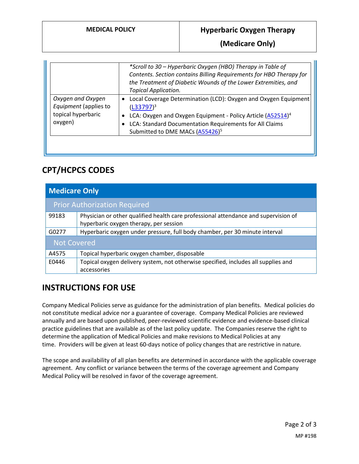#### **MEDICAL POLICY Hyperbaric Oxygen Therapy**

**(Medicare Only)**

|                                                                             | *Scroll to 30 – Hyperbaric Oxygen (HBO) Therapy in Table of<br>Contents. Section contains Billing Requirements for HBO Therapy for<br>the Treatment of Diabetic Wounds of the Lower Extremities, and<br><b>Topical Application.</b>                                               |
|-----------------------------------------------------------------------------|-----------------------------------------------------------------------------------------------------------------------------------------------------------------------------------------------------------------------------------------------------------------------------------|
| Oxygen and Oxygen<br>Equipment (applies to<br>topical hyperbaric<br>oxygen) | Local Coverage Determination (LCD): Oxygen and Oxygen Equipment<br>$\bullet$<br>$(L33797)^3$<br>LCA: Oxygen and Oxygen Equipment - Policy Article (A52514) <sup>4</sup><br>LCA: Standard Documentation Requirements for All Claims<br>Submitted to DME MACs (A55426) <sup>5</sup> |

## **CPT/HCPCS CODES**

| <b>Medicare Only</b>                |                                                                                     |  |
|-------------------------------------|-------------------------------------------------------------------------------------|--|
| <b>Prior Authorization Required</b> |                                                                                     |  |
| 99183                               | Physician or other qualified health care professional attendance and supervision of |  |
|                                     | hyperbaric oxygen therapy, per session                                              |  |
| G0277                               | Hyperbaric oxygen under pressure, full body chamber, per 30 minute interval         |  |
| <b>Not Covered</b>                  |                                                                                     |  |
| A4575                               | Topical hyperbaric oxygen chamber, disposable                                       |  |
| E0446                               | Topical oxygen delivery system, not otherwise specified, includes all supplies and  |  |
|                                     | accessories                                                                         |  |

# **INSTRUCTIONS FOR USE**

Company Medical Policies serve as guidance for the administration of plan benefits. Medical policies do not constitute medical advice nor a guarantee of coverage. Company Medical Policies are reviewed annually and are based upon published, peer-reviewed scientific evidence and evidence-based clinical practice guidelines that are available as of the last policy update. The Companies reserve the right to determine the application of Medical Policies and make revisions to Medical Policies at any time. Providers will be given at least 60-days notice of policy changes that are restrictive in nature.

The scope and availability of all plan benefits are determined in accordance with the applicable coverage agreement. Any conflict or variance between the terms of the coverage agreement and Company Medical Policy will be resolved in favor of the coverage agreement.